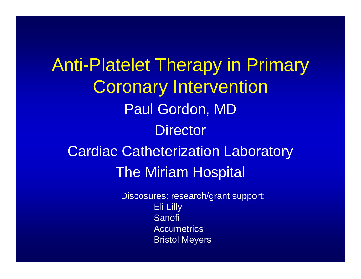Anti-Platelet Therapy in Primary Coronary Intervention Paul Gordon, MD **Director** Cardiac Catheterization Laboratory The Miriam Hospital

> Discosures: research/grant support: Eli Lilly Sanofi Accumetrics Bristol Meyers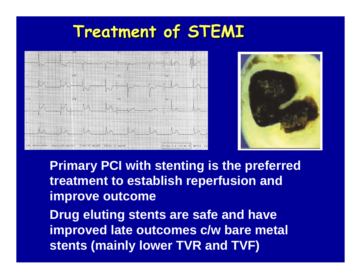# **Treatment of STEMI Treatment of STEMI**





**Primary PCI with stenting is the preferred treatment to establish reperfusion and improve outcome**

**Drug eluting stents are safe and have improved late outcomes c/w bare metal stents (mainly lower TVR and TVF)**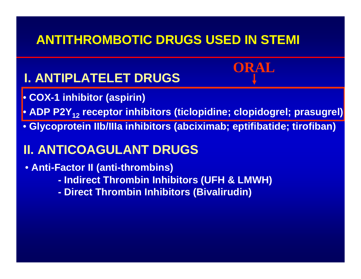### **ANTITHROMBOTIC DRUGS USED IN STEMI**

### **I. ANTIPLATELET DRUGS**

- **COX-1 inhibitor (aspirin)**
- ADP P2Y<sub>12</sub> receptor inhibitors (ticlopidine; clopidogrel; prasugrel)<mark>|</mark>

**ORAL**

• **Glycoprotein IIb/IIIa inhibitors (abciximab; eptifibatide; tirofiban)**

### **II. ANTICOAGULANT DRUGS**

- **Anti-Factor II (anti-thrombins)** 
	- **- Indirect Thrombin Inhibitors (UFH & LMWH)**
	- **- Direct Thrombin Inhibitors (Bivalirudin)**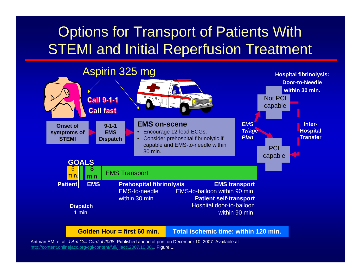## Options for Transport of Patients With STEMI and Initial Reperfusion Treatment



Antman EM, et al. *J Am Coll Cardiol 2008.* Published ahead of print on December 10, 2007. Available at http://content.onlinejacc.org/cgi/content/full/j.jacc.2007.10.001. Figure 1.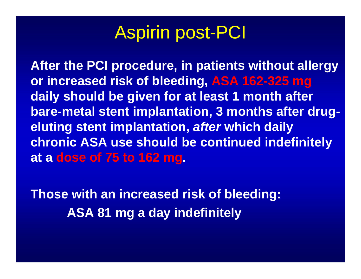# Aspirin post-PCI

**After the PCI procedure, in patients without allergy or increased risk of bleeding, ASA 162-325 mg daily should be given for at least 1 month after bare-metal stent implantation, 3 months after drugeluting stent implantation,** *after* **which daily chronic ASA use should be continued indefinitely at a dose of 75 to 162 mg.** 

**Those with an increased risk of bleeding: ASA 81 mg a day indefinitely**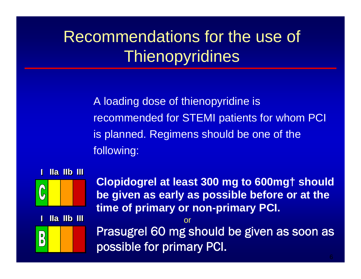# Recommendations for the use of **Thienopyridines**

A loading dose of thienopyridine is recommended for STEMI patients for whom PCI is planned. Regimens should be one of the following:



**Clopidogrel at least 300 mg to 600mg† should be given as early as possible before or at the time of primary or non-primary PCI.**

 $\left| \begin{array}{c} \mathsf{D} \\ \mathsf{D} \end{array} \right|$ 

**IIa IIb III** 

**II**

Prasugrel 60 mg should be given as soon as possible for primary PCI.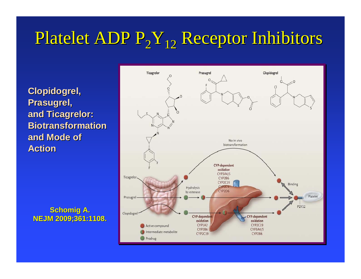# Platelet ADP  $P_2Y_{12}$  Receptor Inhibitors

**Clopidogrel, Clopidogrel, Prasugrel, Prasugrel, and Ticagrelor: and Ticagrelor: BiotransformationBiotransformation and Mode of and Mode of Action Action**

**Schomig Schomig A. NEJM 2009;361:1108. NEJM 2009;361:1108.**

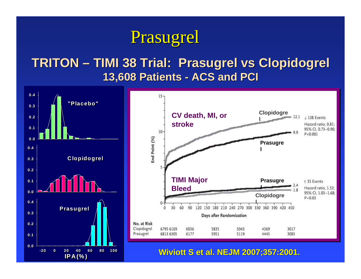# Prasugrel

### **TRITON – TIMI 38 Trial: TIMI 38 Trial: Prasugrel Prasugrel vs Clopidogrel Clopidogrel 13,608 Patients - ACS and PCI**

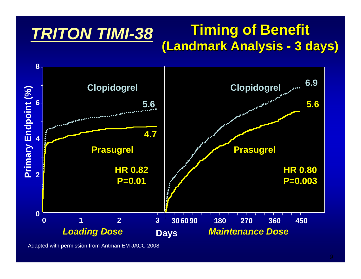#### **Timing of Benefit Timing of Benefit (Landmark Analysis (Landmark Analysis - 3 days) 3 days)** *TRITON TIMI-38*



Adapted with permission from Antman EM JACC 2008.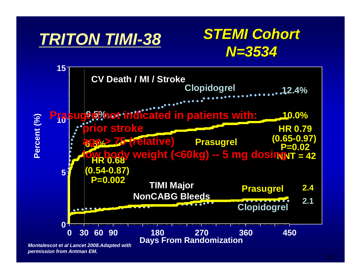# *TRITON TIMI-38*

# *STEMI Cohort STEMI Cohort N=3534*



*permission from Antman EM.*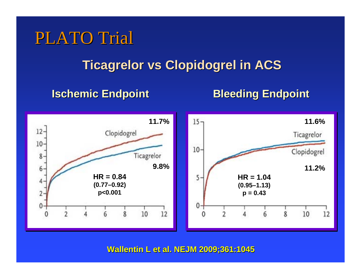# PLATO Trial

### **Ticagrelor vs Clopidogrel in ACS Ticagrelor vs Clopidogrel in ACS**

#### **Ischemic Endpoint Ischemic Endpoint**

**Bleeding Endpoint Bleeding Endpoint**



**Wallentin L et al. NEJM 2009;361:1045 Wallentin L et al. NEJM 2009;361:1045**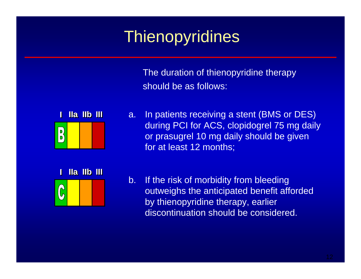# **Thienopyridines**

The duration of thienopyridine therapy should be as follows:



**IIII** a. In patients receiving a stent (BMS or DES) during PCI for ACS, clopidogrel 75 mg daily or prasugrel 10 mg daily should be given for at least 12 months;



b. If the risk of morbidity from bleeding outweighs the anticipated benefit afforded by thienopyridine therapy, earlier discontinuation should be considered.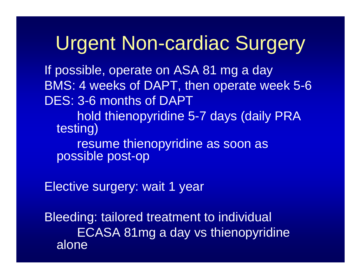# Urgent Non-cardiac Surgery

If possible, operate on ASA 81 mg a day BMS: 4 weeks of DAPT, then operate week 5-6 DES: 3-6 months of DAPThold thienopyridine 5-7 days (daily PRA testing) resume thienopyridine as soon as possible post-op

Elective surgery: wait 1 year

Bleeding: tailored treatment to individual ECASA 81mg a day vs thienopyridine alone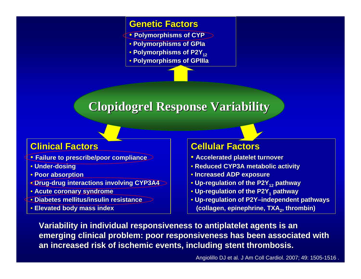#### **Genetic Factors Genetic Factors**

- **Polymorphisms of CYP**
- **Polymorphisms of Polymorphisms of GPIa**
- **Polymorphisms of P2Y12**
- **Polymorphisms of Polymorphisms of GPIIIa**

### **Clopidogrel Response Variability**

#### **Clinical Factors Clinical Factors**

- **Failure to prescribe/poor compliance Failure to prescribe/poor compliance**
- **Under-dosing**
- **Poor absorption**
- **Drug-drug interactions involving CYP3A4 drug interactions involving CYP3A4**
- **Acute coronary syndrome Acute coronary syndrome**
- **Diabetes mellitus/i Diabetes mellitus/insulin resistance nsulin resistance**
- **Elevated body mass index body mass**

#### **Cellular Factors Cellular Factors**

- **Accelerated platelet turnover**
- **Reduced CYP3A me Reduced CYP3A metabolic activity tabolic activity**
- **Increased ADP exposure Increased ADP exposure**
- **Up-regulation of the P2Y12 pathway pathway**
- **Up-regulation of the P2Y1 pathway pathway**
- **Up-regulation of P2Y–independent pathways independent pathways (collagen, epinephrine, TXA2, thrombin) , thrombin)**

**Variability in individual responsiveness to antiplatelet agents is an emerging clinical problem: poor responsiveness has been associated with an increased risk of ischemic events, including stent thrombosis.**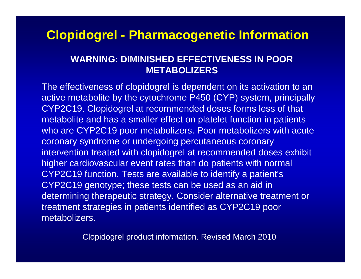### **Clopidogrel - Pharmacogenetic Information**

#### **WARNING: DIMINISHED EFFECTIVENESS IN POOR METABOLIZERS**

The effectiveness of clopidogrel is dependent on its activation to an active metabolite by the cytochrome P450 (CYP) system, principally CYP2C19. Clopidogrel at recommended doses forms less of that metabolite and has a smaller effect on platelet function in patients who are CYP2C19 poor metabolizers. Poor metabolizers with acute coronary syndrome or undergoing percutaneous coronary intervention treated with clopidogrel at recommended doses exhibit higher cardiovascular event rates than do patients with normal CYP2C19 function. Tests are available to identify a patient's CYP2C19 genotype; these tests can be used as an aid in determining therapeutic strategy. Consider alternative treatment or treatment strategies in patients identified as CYP2C19 poor metabolizers.

Clopidogrel product information. Revised March 2010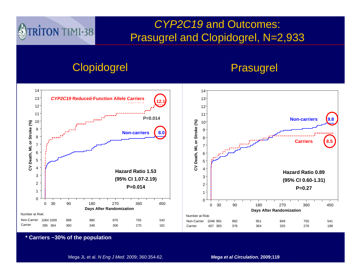#### *CYP2C19* and Outcomes: Prasugrel and Clopidogrel, N=2,933

#### Clopidogrel **Prasugrel**

TRITON TIMI-38



**\* Carriers ~30% of the population**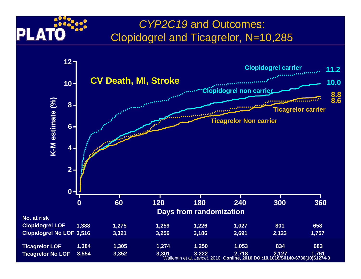#### *CYP2C19* and Outcomes: Clopidogrel and Ticagrelor, N=10,285

PLA

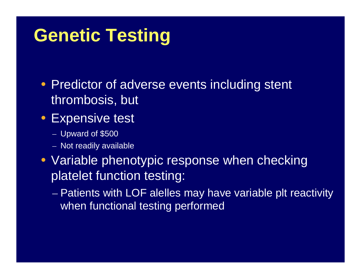# **Genetic Testing**

- Predictor of adverse events including stent thrombosis, but
- Expensive test
	- Upward of \$500
	- Not readily available
- Variable phenotypic response when checking platelet function testing:
	- Patients with LOF alelles may have variable plt reactivity when functional testing performed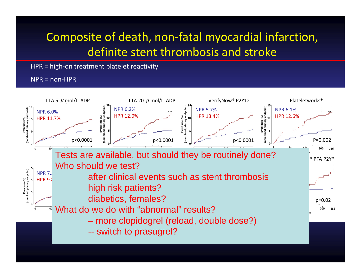### Composite of death, non-fatal myocardial infarction, definite stent thrombosis and stroke

HPR = high-on treatment platelet reactivity

NPR = non-HPR

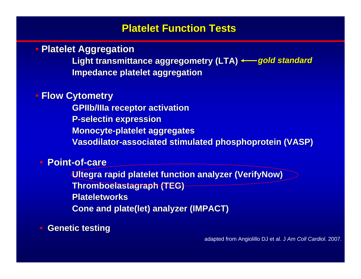#### **Platelet Function Tests Platelet Function Tests**

• Platelet Aggregation

Light transmittance aggregometry (LTA) <del>< g</del>old standard **Impedance platelet aggregation Impedance platelet aggregation**

#### • **Flow Cytometry Cytometry**

**GPIIb/IIIa GPIIb/IIIa receptor activation receptor activation P-selectin selectin expression expression Monocyte-platelet aggregates Vasodilator Vasodilator-associated stimulated associated stimulated phosphoprotein phosphoprotein (VASP)**

#### • **Point-of-care**

**Ultegra rapid platelet function analyzer (VerifyNow) Thromboelastagraph Thromboelastagraph (TEG) Plateletworks PlateletworksCone and plate(let) analyzer (IMPACT)** 

#### $\Box$ **Genetic testing Genetic testing**

adapted from Angiolillo DJ et al. J *Am Coll Cardiol.* 2007.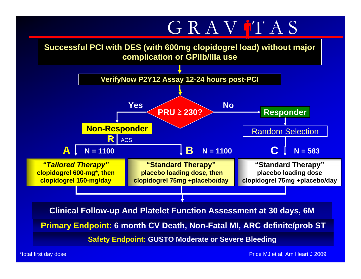# GRAV TAS

#### **Successful PCI with DES (with 600mg clopidogrel load) without major complication or GPIIb/IIIa use**



\*total first day dose Price MJ et al, Am Heart J 2009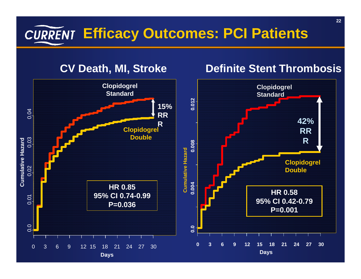# **Efficacy Outcomes: PCI Patients**



#### **CV Death, MI, Stroke Definite Stent Thrombosis**

**RR**

**R**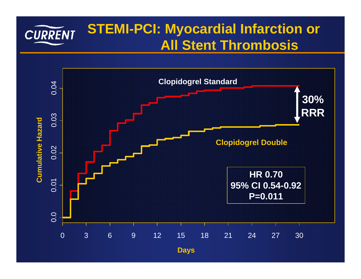#### **STEMI-PCI: Myocardial Infarction or**  CURRENT **All Stent Thrombosis**

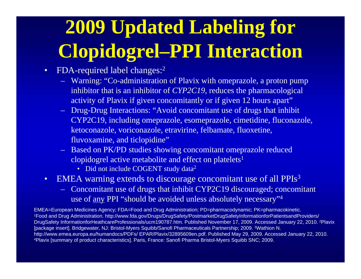# **2009 Updated Labeling for Clopidogrel–PPI Interaction**

- • FDA-required label changes: 2
	- Warning: "Co-administration of Plavix with omeprazole, a proton pump inhibitor that is an inhibitor of *CYP2C19*, reduces the pharmacological activity of Plavix if given concomitantly or if given 12 hours apart"
	- Drug-Drug Interactions: "Avoid concomitant use of drugs that inhibit CYP2C19, including omeprazole, esomeprazole, cimetidine, fluconazole, ketoconazole, voriconazole, etravirine, felbamate, fluoxetine, fluvoxamine, and ticlopidine"
	- Based on PK/PD studies showing concomitant omeprazole reduced clopidogrel active metabolite and effect on platelets<sup>1</sup>
		- Did not include COGENT study data<sup>2</sup>
- • EMEA warning extends to discourage concomitant use of all PPIs 3
	- Concomitant use of drugs that inhibit CYP2C19 discouraged; concomitant use of <u>any</u> PPI "should be avoided unless absolutely necessary"<sup>4</sup>

EMEA=European Medicines Agency; FDA=Food and Drug Administration; PD=pharmacodynamic; PK=pharmacokinetic. 1Food and Drug Administration. http://www.fda.gov/Drugs/DrugSafety/PostmarketDrugSafetyInformationforPatientsandProviders/ DrugSafety InformationforHeathcareProfessionals/ucm190787.htm. Published November 17, 2009. Accessed January 22, 2010. 2Plavix [package insert]. Bridgewater, NJ: Bristol-Myers Squibb/Sanofi Pharmaceuticals Partnership; 2009. 3Wathion N. http://www.emea.europa.eu/humandocs/PDFs/ EPAR/Plavix/32895609en.pdf. Published May 29, 2009. Accessed January 22, 2010.<br><sup>4</sup>Plavix [summary of product characteristics]. Paris, France: Sanofi Pharma Bristol-Myers Squibb SNC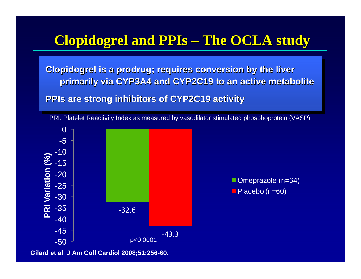#### **Clopidogrel Clopidogrel and PPIs The OCLA study The OCLA study**

**Clopidogrel is a prodrug; requires conversion by the liver Clopidogrel Clopidogrelis a prodrug prodrug; requires conversion by the liver ; requires conversion by the liver primarily via CYP3A4 and CYP2C19 to an active metabolite primarily via CYP3A4 and CYP2 primarily via CYP3A4 and CYP2C19 to an active metabolite C19 to an active metabolite**

**PPIs are strong inhibitors of CYP2C19 activity PPIs are strong inhibitors of CYP2C19 activity are strong inhibitors of CYP2C19 activity**



PRI: Platelet Reactivity Index as measured by vasodilator stimulated phosphoprotein (VASP)

**Gilard et al. J Am Coll Cardiol 2008;51:256-60.**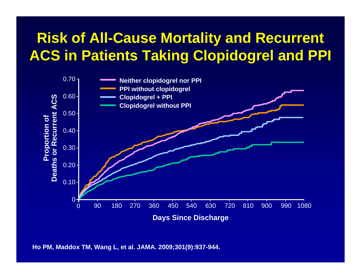## **Risk of All-Cause Mortality and Recurrent ACS in Patients Taking Clopidogrel and PPI**



**Ho PM, Maddox TM, Wang L, et al. JAMA. 2009;301(9):937-944.**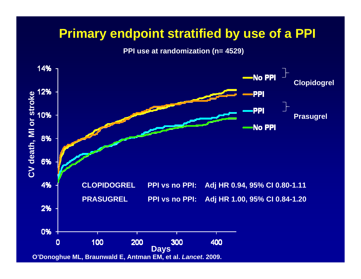### **Primary endpoint stratified by use of a PPI**

**PPI use at randomization (n= 4529)**

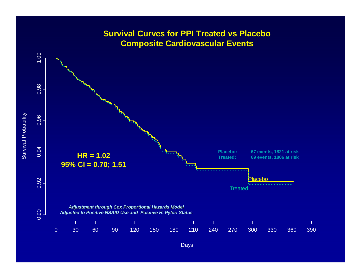

Days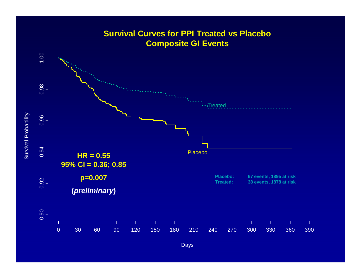

Days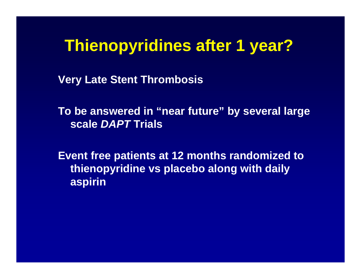# **Thienopyridines after 1 year?**

**Very Late Stent Thrombosis**

**To be answered in "near future" by several large scale** *DAPT* **Trials**

**Event free patients at 12 months randomized to thienopyridine vs placebo along with daily aspirin**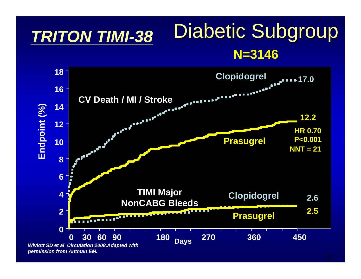### Diabetic Subgroup **N=3146** *TRITON TIMI-38*



*permission from Antman EM.*